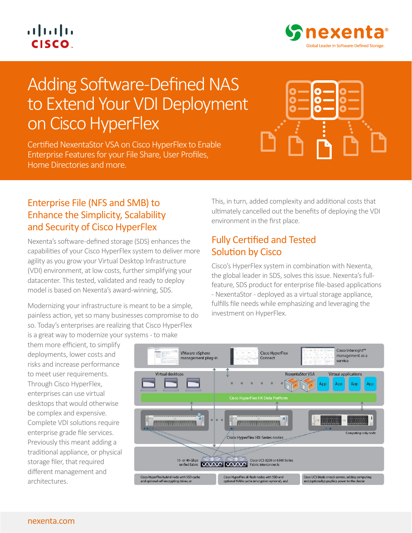## $\left\vert .\right\vert \left\vert .\right\vert \left\vert .\right\vert$ **CISCO**



# Adding Software-Defined NAS to Extend Your VDI Deployment on Cisco HyperFlex

Certified NexentaStor VSA on Cisco HyperFlex to Enable Enterprise Features for your File Share, User Profiles, Home Directories and more.



#### Enterprise File (NFS and SMB) to Enhance the Simplicity, Scalability and Security of Cisco HyperFlex

Nexenta's software-defined storage (SDS) enhances the capabilities of your Cisco HyperFlex system to deliver more agility as you grow your Virtual Desktop Infrastructure (VDI) environment, at low costs, further simplifying your datacenter. This tested, validated and ready to deploy model is based on Nexenta's award-winning, SDS.

Modernizing your infrastructure is meant to be a simple, painless action, yet so many businesses compromise to do so. Today's enterprises are realizing that Cisco HyperFlex is a great way to modernize your systems - to make

them more efficient, to simplify deployments, lower costs and risks and increase performance to meet user requirements. Through Cisco HyperFlex, enterprises can use virtual

desktops that would otherwise be complex and expensive. Complete VDI solutions require enterprise grade file services. Previously this meant adding a traditional appliance, or physical storage filer, that required different management and architectures.

This, in turn, added complexity and additional costs that ultimately cancelled out the benefits of deploying the VDI environment in the first place.

#### Fully Certified and Tested Solution by Cisco

Cisco's HyperFlex system in combination with Nexenta, the global leader in SDS, solves this issue. Nexenta's fullfeature, SDS product for enterprise file-based applications - NexentaStor - deployed as a virtual storage appliance, fulfills file needs while emphasizing and leveraging the investment on HyperFlex.